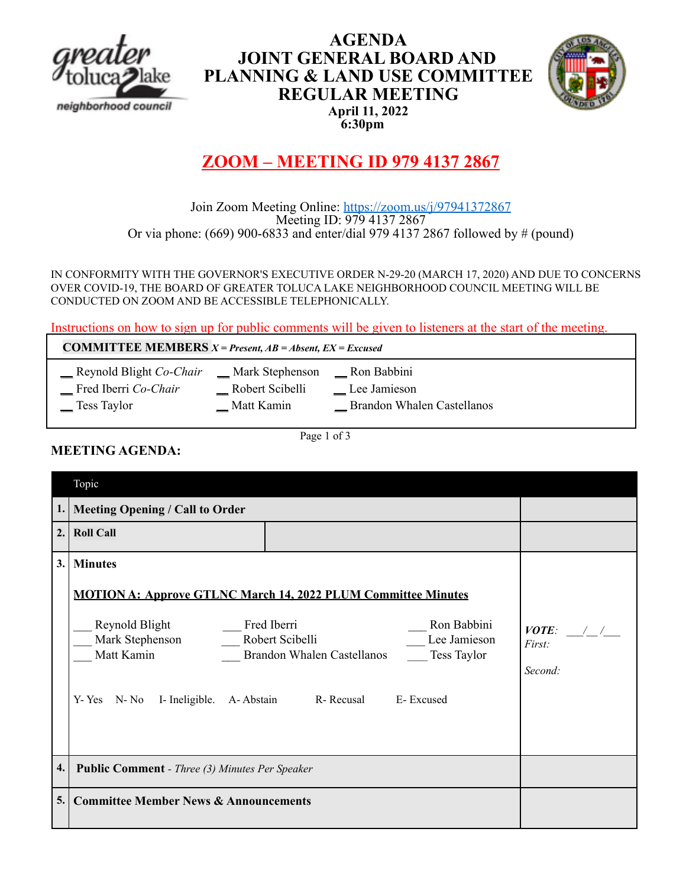

## **AGENDA JOINT GENERAL BOARD AND PLANNING & LAND USE COMMITTEE REGULAR MEETING April 11, 2022 6:30pm**



# **ZOOM – MEETING ID 979 4137 2867**

## Join Zoom Meeting Online: https://zoom.us/j/97941372867 Meeting ID: 979 4137 2867 Or via phone: (669) 900-6833 and enter/dial 979 4137 2867 followed by # (pound)

IN CONFORMITY WITH THE GOVERNOR'S EXECUTIVE ORDER N-29-20 (MARCH 17, 2020) AND DUE TO CONCERNS OVER COVID-19, THE BOARD OF GREATER TOLUCA LAKE NEIGHBORHOOD COUNCIL MEETING WILL BE CONDUCTED ON ZOOM AND BE ACCESSIBLE TELEPHONICALLY.

Instructions on how to sign up for public comments will be given to listeners at the start of the meeting.

**COMMITTEE MEMBERS** *X = Present, AB = Absent, EX = Excused*

- \_\_ Reynold Blight *Co-Chair* \_\_ Mark Stephenson \_\_ Ron Babbini
	- -

\_\_ Fred Iberri *Co-Chair* \_\_ Robert Scibelli \_\_ Lee Jamieson

\_\_ Tess Taylor \_\_ Matt Kamin \_\_ Brandon Whalen Castellanos

**MEETING AGENDA:**

Page 1 of 3

|     | Topic                                                                                                                                                                                                                                                                                                   |                                  |
|-----|---------------------------------------------------------------------------------------------------------------------------------------------------------------------------------------------------------------------------------------------------------------------------------------------------------|----------------------------------|
|     | 1. Meeting Opening / Call to Order                                                                                                                                                                                                                                                                      |                                  |
| 2.1 | <b>Roll Call</b>                                                                                                                                                                                                                                                                                        |                                  |
| 3.1 | <b>Minutes</b>                                                                                                                                                                                                                                                                                          |                                  |
|     | <b>MOTION A: Approve GTLNC March 14, 2022 PLUM Committee Minutes</b><br>Reynold Blight Fred Iberri<br>Ron Babbini<br>Mark Stephenson _______ Robert Scibelli<br>Lee Jamieson<br>Matt Kamin<br>Brandon Whalen Castellanos _____ Tess Taylor<br>Y-Yes N-No I-Ineligible. A-Abstain R-Recusal<br>E-Excused | $VOTE:$ / /<br>First:<br>Second: |
| 4.  | <b>Public Comment</b> - Three (3) Minutes Per Speaker                                                                                                                                                                                                                                                   |                                  |
| 5.  | <b>Committee Member News &amp; Announcements</b>                                                                                                                                                                                                                                                        |                                  |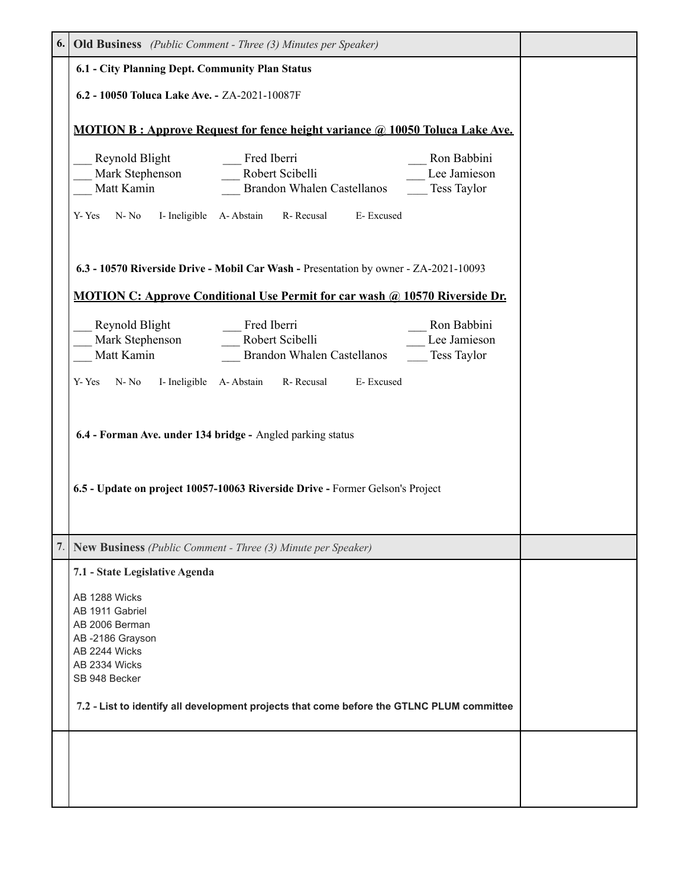|    | <b>6.</b> Old Business (Public Comment - Three (3) Minutes per Speaker)                                                                                                                                                                                 |  |
|----|---------------------------------------------------------------------------------------------------------------------------------------------------------------------------------------------------------------------------------------------------------|--|
|    | 6.1 - City Planning Dept. Community Plan Status                                                                                                                                                                                                         |  |
|    | 6.2 - 10050 Toluca Lake Ave. - ZA-2021-10087F                                                                                                                                                                                                           |  |
|    | <b>MOTION B: Approve Request for fence height variance @ 10050 Toluca Lake Ave.</b>                                                                                                                                                                     |  |
|    | Fred Iberri<br>Reynold Blight<br>Ron Babbini<br>Mark Stephenson ________ Robert Scibelli<br>Lee Jamieson<br>Matt Kamin<br>Tess Taylor<br>Brandon Whalen Castellanos<br>R-Recusal<br>N-No<br>I- Ineligible A- Abstain<br>E-Excused<br>Y-Yes              |  |
|    | 6.3 - 10570 Riverside Drive - Mobil Car Wash - Presentation by owner - ZA-2021-10093<br><b>MOTION C: Approve Conditional Use Permit for car wash @ 10570 Riverside Dr.</b>                                                                              |  |
|    | Reynold Blight<br>Mark Stephenson<br>Fred Iberri<br>Ron Babbini<br>Robert Scibelli<br>Lee Jamieson<br>Matt Kamin<br><b>Brandon Whalen Castellanos</b><br>Tess Taylor                                                                                    |  |
|    | $N-No$<br>I- Ineligible A-Abstain R- Recusal<br>E-Excused<br>Y-Yes                                                                                                                                                                                      |  |
|    | 6.4 - Forman Ave. under 134 bridge - Angled parking status<br>6.5 - Update on project 10057-10063 Riverside Drive - Former Gelson's Project                                                                                                             |  |
| 7. | <b>New Business</b> (Public Comment - Three (3) Minute per Speaker)                                                                                                                                                                                     |  |
|    | 7.1 - State Legislative Agenda<br>AB 1288 Wicks<br>AB 1911 Gabriel<br>AB 2006 Berman<br>AB-2186 Grayson<br>AB 2244 Wicks<br>AB 2334 Wicks<br>SB 948 Becker<br>7.2 - List to identify all development projects that come before the GTLNC PLUM committee |  |
|    |                                                                                                                                                                                                                                                         |  |
|    |                                                                                                                                                                                                                                                         |  |
|    |                                                                                                                                                                                                                                                         |  |